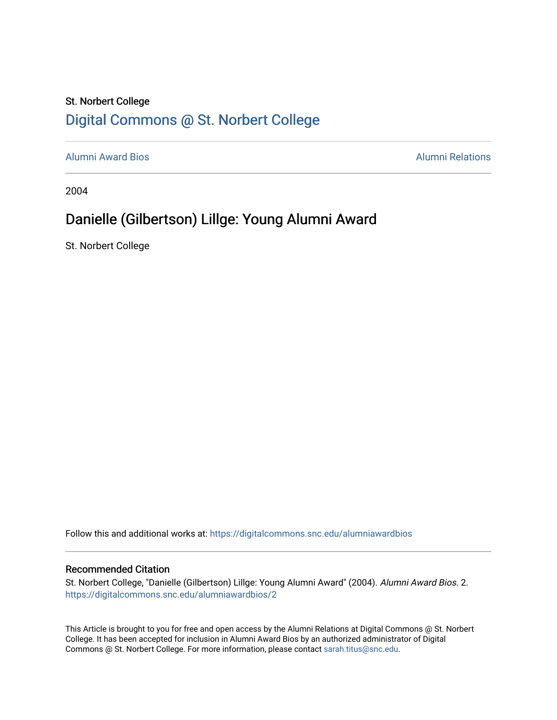### St. Norbert College [Digital Commons @ St. Norbert College](https://digitalcommons.snc.edu/)

[Alumni Award Bios](https://digitalcommons.snc.edu/alumniawardbios) [Alumni Relations](https://digitalcommons.snc.edu/alumni) 

2004

## Danielle (Gilbertson) Lillge: Young Alumni Award

St. Norbert College

Follow this and additional works at: [https://digitalcommons.snc.edu/alumniawardbios](https://digitalcommons.snc.edu/alumniawardbios?utm_source=digitalcommons.snc.edu%2Falumniawardbios%2F2&utm_medium=PDF&utm_campaign=PDFCoverPages)

#### Recommended Citation

St. Norbert College, "Danielle (Gilbertson) Lillge: Young Alumni Award" (2004). Alumni Award Bios. 2. [https://digitalcommons.snc.edu/alumniawardbios/2](https://digitalcommons.snc.edu/alumniawardbios/2?utm_source=digitalcommons.snc.edu%2Falumniawardbios%2F2&utm_medium=PDF&utm_campaign=PDFCoverPages)

This Article is brought to you for free and open access by the Alumni Relations at Digital Commons @ St. Norbert College. It has been accepted for inclusion in Alumni Award Bios by an authorized administrator of Digital Commons @ St. Norbert College. For more information, please contact [sarah.titus@snc.edu.](mailto:sarah.titus@snc.edu)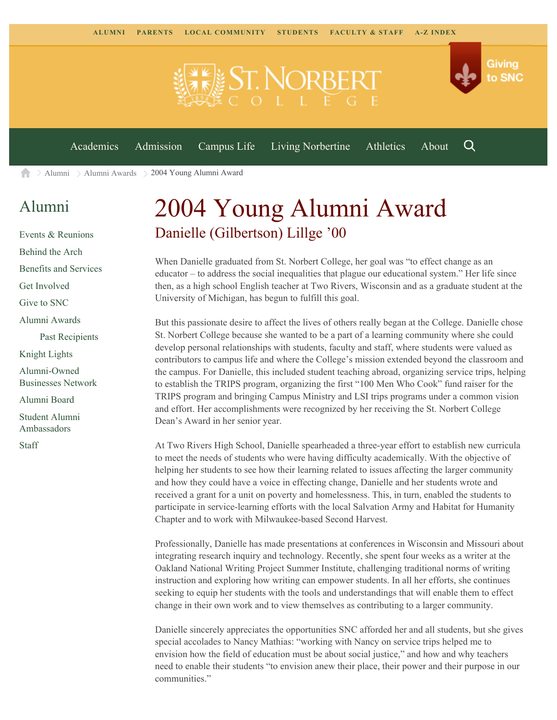[Academics](https://www.snc.edu/academics) [Admission](https://www.snc.edu/admission) [Campus Life](https://www.snc.edu/campuslife) [Living Norbertine](https://www.snc.edu/livingnorbertine) [Athletics](https://www.snc.edu/athletics) [About](https://www.snc.edu/about)



[Alumni](https://www.snc.edu/alumni/) [Alumni Awards](https://www.snc.edu/alumni/awards/) 2004 Young Alumni Award

## [Alumni](https://www.snc.edu/alumni/index.html)

A

[Events & Reunions](https://www.snc.edu/alumni/event/index.html) [Behind the Arch](https://www.snc.edu/alumni/event/behindthearch/) [Benefits and Services](https://www.snc.edu/alumni/benefits.html) [Get Involved](https://www.snc.edu/alumni/getinvolved.html) [Give to SNC](http://giving.snc.edu/) [Alumni Awards](https://www.snc.edu/alumni/awards/index.html) [Past Recipients](https://www.snc.edu/alumni/awards/recipients.html) [Knight Lights](https://www.snc.edu/alumni/knightlights/index.html) [Alumni-Owned](https://www.snc.edu/alumni/directory/index.html) [Businesses Network](https://www.snc.edu/alumni/directory/index.html) [Alumni Board](https://www.snc.edu/alumni/alumniboard.html) [Student Alumni](https://www.snc.edu/alumni/saa.html) [Ambassadors](https://www.snc.edu/alumni/saa.html)

[Staff](https://www.snc.edu/alumni/contactus.html)

# 2004 Young Alumni Award Danielle (Gilbertson) Lillge '00

When Danielle graduated from St. Norbert College, her goal was "to effect change as an educator – to address the social inequalities that plague our educational system." Her life since then, as a high school English teacher at Two Rivers, Wisconsin and as a graduate student at the University of Michigan, has begun to fulfill this goal.

But this passionate desire to affect the lives of others really began at the College. Danielle chose St. Norbert College because she wanted to be a part of a learning community where she could develop personal relationships with students, faculty and staff, where students were valued as contributors to campus life and where the College's mission extended beyond the classroom and the campus. For Danielle, this included student teaching abroad, organizing service trips, helping to establish the TRIPS program, organizing the first "100 Men Who Cook" fund raiser for the TRIPS program and bringing Campus Ministry and LSI trips programs under a common vision and effort. Her accomplishments were recognized by her receiving the St. Norbert College Dean's Award in her senior year.

At Two Rivers High School, Danielle spearheaded a three-year effort to establish new curricula to meet the needs of students who were having difficulty academically. With the objective of helping her students to see how their learning related to issues affecting the larger community and how they could have a voice in effecting change, Danielle and her students wrote and received a grant for a unit on poverty and homelessness. This, in turn, enabled the students to participate in service-learning efforts with the local Salvation Army and Habitat for Humanity Chapter and to work with Milwaukee-based Second Harvest.

Professionally, Danielle has made presentations at conferences in Wisconsin and Missouri about integrating research inquiry and technology. Recently, she spent four weeks as a writer at the Oakland National Writing Project Summer Institute, challenging traditional norms of writing instruction and exploring how writing can empower students. In all her efforts, she continues seeking to equip her students with the tools and understandings that will enable them to effect change in their own work and to view themselves as contributing to a larger community.

Danielle sincerely appreciates the opportunities SNC afforded her and all students, but she gives special accolades to Nancy Mathias: "working with Nancy on service trips helped me to envision how the field of education must be about social justice," and how and why teachers need to enable their students "to envision anew their place, their power and their purpose in our communities."